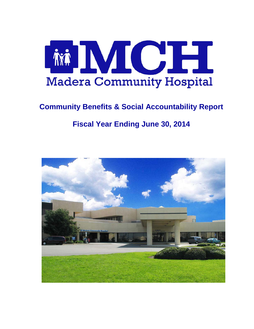

# **Community Benefits & Social Accountability Report**

# **Fiscal Year Ending June 30, 2014**

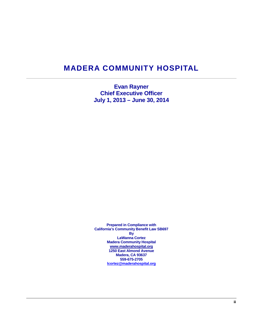# **MADERA COMMUNITY HOSPITAL**

**Evan Rayner Chief Executive Officer July 1, 2013 – June 30, 2014**

**Prepared in Compliance with California's Community Benefit Law SB697 By LaWanna Cortez Madera Community Hospital [www.maderahospital.org](http://www.maderahospital.org/) 1250 East Almond Avenue Madera, CA 93637 559-675-2705 [lcortez@maderahospital.org](mailto:lcortez@maderahospital.org)**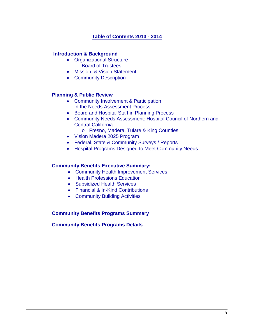### **Table of Contents 2013 - 2014**

### **Introduction & Background**

- Organizational Structure Board of Trustees
- Mission & Vision Statement
- Community Description

### **Planning & Public Review**

- Community Involvement & Participation In the Needs Assessment Process
- Board and Hospital Staff in Planning Process
- Community Needs Assessment: Hospital Council of Northern and Central California
	- o Fresno, Madera, Tulare & King Counties
- Vision Madera 2025 Program
- Federal, State & Community Surveys / Reports
- Hospital Programs Designed to Meet Community Needs

#### **Community Benefits Executive Summary:**

- Community Health Improvement Services
- Health Professions Education
- Subsidized Health Services
- Financial & In-Kind Contributions
- Community Building Activities

#### **Community Benefits Programs Summary**

#### **Community Benefits Programs Details**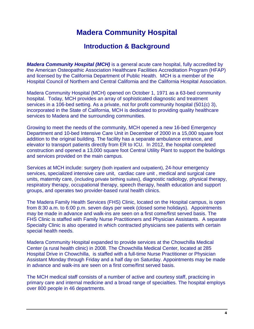# **Madera Community Hospital**

## **Introduction & Background**

*Madera Community Hospital (MCH)* is a general acute care hospital, fully accredited by the American Osteopathic Association Healthcare Facilities Accreditation Program (HFAP) and licensed by the California Department of Public Health. MCH is a member of the Hospital Council of Northern and Central California and the California Hospital Association.

Madera Community Hospital (MCH) opened on October 1, 1971 as a 63-bed community hospital. Today, MCH provides an array of sophisticated diagnostic and treatment services in a 106-bed setting. As a private, not for profit community hospital (501(c) 3), incorporated in the State of California, MCH is dedicated to providing quality healthcare services to Madera and the surrounding communities.

Growing to meet the needs of the community, MCH opened a new 16-bed Emergency Department and 10-bed Intensive Care Unit in December of 2000 in a 15,000 square foot addition to the original building. The facility has a separate ambulance entrance, and elevator to transport patients directly from ER to ICU. In 2012, the hospital completed construction and opened a 13,000 square foot Central Utility Plant to support the buildings and services provided on the main campus.

Services at MCH include: surgery (both inpatient and outpatient), 24-hour emergency services, specialized intensive care unit, cardiac care unit , medical and surgical care units, maternity care, (including private birthing suites), diagnostic radiology, physical therapy, respiratory therapy, occupational therapy, speech therapy, health education and support groups, and operates two provider-based rural health clinics.

The Madera Family Health Services (FHS) Clinic, located on the Hospital campus, is open from 8:30 a.m. to 6:00 p.m. seven days per week (closed some holidays). Appointments may be made in advance and walk-ins are seen on a first come/first served basis. The FHS Clinic is staffed with Family Nurse Practitioners and Physician Assistants. A separate Specialty Clinic is also operated in which contracted physicians see patients with certain special health needs.

Madera Community Hospital expanded to provide services at the Chowchilla Medical Center (a rural health clinic) in 2008. The Chowchilla Medical Center, located at 285 Hospital Drive in Chowchilla, is staffed with a full-time Nurse Practitioner or Physician Assistant Monday through Friday and a half day on Saturday. Appointments may be made in advance and walk-ins are seen on a first come/first served basis.

The MCH medical staff consists of a number of active and courtesy staff, practicing in primary care and internal medicine and a broad range of specialties. The hospital employs over 800 people in 46 departments.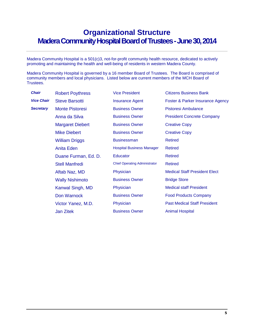# **Organizational Structure Madera Community Hospital Board of Trustees - June 30, 2014**

Madera Community Hospital is a 501(c)3, not-for-profit community health resource, dedicated to actively promoting and maintaining the health and well-being of residents in western Madera County.

Madera Community Hospital is governed by a 16 member Board of Trustees. The Board is comprised of community members and local physicians. Listed below are current members of the MCH Board of Trustees.

**Chair** Robert Poythress Vice President Citizens Business Bank

Margaret Diebert **Business Owner** Creative Copy Mike Diebert **Business Owner** Creative Copy William Driggs Businessman Retired Anita Eden **Hospital Business Manager** Retired Duane Furman, Ed. D. Educator Retired Stell Manfredi Chief Operating Administrator Retired Wally Nishimoto **Business Owner** Bridge Store **Jan Zitek Channess Owner Animal Hospital** 

**Vice Chair** Steve Barsotti **Insurance Agent** Foster & Parker Insurance Agency **Secretary** Monte Pistoresi **Business Owner** Pistoresi Ambulance Anna da Silva **Business Owner** President Concrete Company Aftab Naz, MD **Physician** Physician Medical Staff President Elect Kanwal Singh, MD Physician Medical staff President **Don Warnock Business Owner Food Products Company** Victor Yanez, M.D. Physician Physician Past Medical Staff President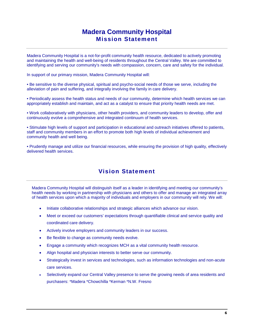## **Madera Community Hospital Mission Statement**

Madera Community Hospital is a not-for-profit community health resource, dedicated to actively promoting and maintaining the health and well-being of residents throughout the Central Valley. We are committed to identifying and serving our community's needs with compassion, concern, care and safety for the individual.

In support of our primary mission, Madera Community Hospital will:

• Be sensitive to the diverse physical, spiritual and psycho-social needs of those we serve, including the alleviation of pain and suffering, and integrally involving the family in care delivery.

• Periodically assess the health status and needs of our community, determine which health services we can appropriately establish and maintain, and act as a catalyst to ensure that priority health needs are met.

• Work collaboratively with physicians, other health providers, and community leaders to develop, offer and continuously evolve a comprehensive and integrated continuum of health services.

• Stimulate high levels of support and participation in educational and outreach initiatives offered to patients, staff and community members in an effort to promote both high levels of individual achievement and community health and well being.

• Prudently manage and utilize our financial resources, while ensuring the provision of high quality, effectively delivered health services.

## **Vision Statement**

Madera Community Hospital will distinguish itself as a leader in identifying and meeting our community's health needs by working in partnership with physicians and others to offer and manage an integrated array of health services upon which a majority of individuals and employers in our community will rely. We will:

- Initiate collaborative relationships and strategic alliances which advance our vision.
- Meet or exceed our customers' expectations through quantifiable clinical and service quality and coordinated care delivery.
- Actively involve employers and community leaders in our success.
- Be flexible to change as community needs evolve.
- Engage a community which recognizes MCH as a vital community health resource.
- Align hospital and physician interests to better serve our community.
- Strategically invest in services and technologies, such as information technologies and non-acute care services.
- Selectively expand our Central Valley presence to serve the growing needs of area residents and purchasers: \*Madera \*Chowchilla \*Kerman \*N.W. Fresno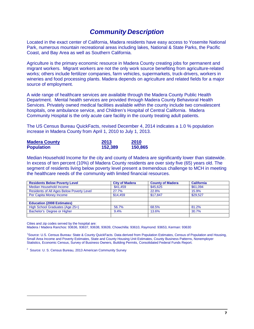## *Community Description*

Located in the exact center of California, Madera residents have easy access to Yosemite National Park, numerous mountain recreational areas including lakes, National & State Parks, the Pacific Coast, and Bay Area as well as Southern California.

Agriculture is the primary economic resource in Madera County creating jobs for permanent and migrant workers. Migrant workers are not the only work source benefiting from agriculture-related works; others include fertilizer companies, farm vehicles, supermarkets, truck-drivers, workers in wineries and food processing plants. Madera depends on agriculture and related fields for a major source of employment.

A wide range of healthcare services are available through the Madera County Public Health Department. Mental health services are provided through Madera County Behavioral Health Services. Privately owned medical facilities available within the county include two convalescent hospitals, one ambulance service, and Children's Hospital of Central California. Madera Community Hospital is the only acute care facility in the county treating adult patients.

The US Census Bureau QuickFacts, revised December 4, 2014 indicates a 1.0 % population increase in Madera County from April 1, 2010 to July 1, 2013.

| <b>Madera County</b> | 2013    | 2010    |
|----------------------|---------|---------|
| <b>Population</b>    | 152,389 | 150,865 |

Median Household Income for the city and county of Madera are significantly lower than statewide. In excess of ten percent (10%) of Madera County residents are over sixty five (65) years old. The segment of residents living below poverty level present a tremendous challenge to MCH in meeting the healthcare needs of the community with limited financial resources.

| <b>Residents Below Poverty Level</b>             | <b>City of Madera</b> | <b>County of Madera</b> | <b>California</b> |
|--------------------------------------------------|-----------------------|-------------------------|-------------------|
| Median Household Income                          | \$41.459              | \$45,625                | \$61.094          |
| <b>Residents of All Ages Below Poverty Level</b> | 27.7%                 | 22.8%                   | 15.9%             |
| Per Capita Money Income                          | \$14.459              | \$17,847                | \$29.527          |
|                                                  |                       |                         |                   |
| <b>Education (2008 Estimates)</b>                |                       |                         |                   |
| High School Graduates (Age 25+)                  | 56.7%                 | 68.5%                   | 81.2%             |
| Bachelor's Degree or Higher                      | 9.4%                  | 13.6%                   | 30.7%             |
|                                                  |                       |                         |                   |

Cities and zip codes served by the hospital are:

<span id="page-6-0"></span> $\overline{a}$ 

Madera / Madera Ranchos: 93636, 93637, 93638, 93639, Chowchilla: 93610, Raymond: 93653, Kerman: 93630

[1](#page-6-0) Source: U.S. Census Bureau: State & County QuickFacts. Data derived from Population Estimates, Census of Population and Housing, Small Area Income and Poverty Estimates, State and County Housing Unit Estimates, County Business Patterns, Nonemployer Statistics, Economic Census, Survey of Business Owners, Building Permits, Consolidated Federal Funds Report.

<sup>2</sup> Source: U. S. Census Bureau, 2013 American Community Survey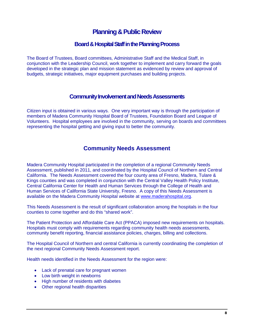## **Planning & Public Review**

### **Board & Hospital Staff in the Planning Process**

The Board of Trustees, Board committees, Administrative Staff and the Medical Staff, in conjunction with the Leadership Council, work together to implement and carry forward the goals developed in the strategic plan and mission statement as evidenced by review and approval of budgets, strategic initiatives, major equipment purchases and building projects.

### **Community Involvement and Needs Assessments**

Citizen input is obtained in various ways. One very important way is through the participation of members of Madera Community Hospital Board of Trustees, Foundation Board and League of Volunteers. Hospital employees are involved in the community, serving on boards and committees representing the hospital getting and giving input to better the community.

### **Community Needs Assessment**

Madera Community Hospital participated in the completion of a regional Community Needs Assessment, published in 2011, and coordinated by the Hospital Council of Northern and Central California. The Needs Assessment covered the four county area of Fresno, Madera, Tulare & Kings counties and was completed in conjunction with the Central Valley Health Policy Institute, Central California Center for Health and Human Services through the College of Health and Human Services of California State University, Fresno. A copy of this Needs Assessment is available on the Madera Community Hospital website at [www.maderahospital.org.](http://www.maderahospital.org/)

This Needs Assessment is the result of significant collaboration among the hospitals in the four counties to come together and do this "shared work".

The Patient Protection and Affordable Care Act (PPACA) imposed new requirements on hospitals. Hospitals must comply with requirements regarding community health needs assessments, community benefit reporting, financial assistance policies, charges, billing and collections.

The Hospital Council of Northern and central California is currently coordinating the completion of the next regional Community Needs Assessment report.

Health needs identified in the Needs Assessment for the region were:

- Lack of prenatal care for pregnant women
- Low birth weight in newborns
- High number of residents with diabetes
- Other regional health disparities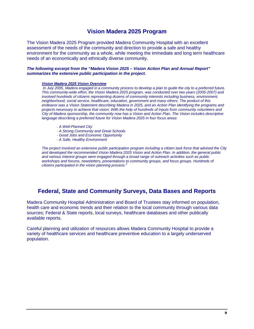## **Vision Madera 2025 Program**

The Vision Madera 2025 Program provided Madera Community Hospital with an excellent assessment of the needs of the community and direction to provide a safe and healthy environment for the community as a whole, while meeting the immediate and long term healthcare needs of an economically and ethnically diverse community.

#### *The following excerpt from the "Madera Vision 2025 – Vision Action Plan and Annual Report" summarizes the extensive public participation in the project.*

#### *Vision Madera 2025 Vision Overview*

*In July 2005, Madera engaged in a community process to develop a plan to guide the city to a preferred future. This community-wide effort, the Vision Madera 2025 program, was conducted over two years (2005-2007) and involved hundreds of citizens representing dozens of community interests including business, environment, neighborhood, social service, healthcare, education, government and many others. The product of this endeavor was a Vision Statement describing Madera in 2025, and an Action Plan identifying the programs and projects necessary to achieve that vision. With the help of hundreds of inputs from community volunteers and City of Madera sponsorship, the community now has a Vision and Action Plan. The Vision includes descriptive language describing a preferred future for Vision Madera 2025 in four focus areas:*

- *· A Well-Planned City*
- *· A Strong Community and Great Schools*
- *· Good Jobs and Economic Opportunity*
- *· A Safe, Healthy Environment*

*The project involved an extensive public participation program including a citizen task force that advised the City and developed the recommended Vision Madera 2025 Vision and Action Plan. In addition, the general public and various interest groups were engaged through a broad range of outreach activities such as public workshops and forums, newsletters, presentations to community groups, and focus groups. Hundreds of citizens participated in the vision planning process.<sup>3</sup>*

## **Federal, State and Community Surveys, Data Bases and Reports**

Madera Community Hospital Administration and Board of Trustees stay informed on population, health care and economic trends and their relation to the local community through various data sources; Federal & State reports, local surveys, healthcare databases and other publically available reports.

Careful planning and utilization of resources allows Madera Community Hospital to provide a variety of healthcare services and healthcare preventive education to a largely underserved population.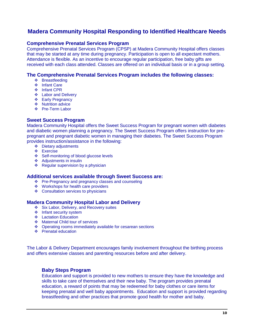## **Madera Community Hospital Responding to Identified Healthcare Needs**

#### **Comprehensive Prenatal Services Program**

Comprehensive Prenatal Services Program (CPSP) at Madera Community Hospital offers classes that may be started at any time during pregnancy. Participation is open to all expectant mothers. Attendance is flexible. As an incentive to encourage regular participation, free baby gifts are received with each class attended. Classes are offered on an individual basis or in a group setting.

#### **The Comprehensive Prenatal Services Program includes the following classes:**

- Breastfeeding
- ❖ Infant Care
- ❖ Infant CPR
- **Labor and Delivery**
- ❖ Early Pregnancy
- ❖ Nutrition advice
- ❖ Pre-Term Labor

#### **Sweet Success Program**

Madera Community Hospital offers the Sweet Success Program for pregnant women with diabetes and diabetic women planning a pregnancy. The Sweet Success Program offers instruction for prepregnant and pregnant diabetic women in managing their diabetes. The Sweet Success Program provides instruction/assistance in the following:

- Dietary adjustments
- Exercise
- ❖ Self-monitoring of blood glucose levels
- ❖ Adjustments in insulin
- $\div$  Regular supervision by a physician

#### **Additional services available through Sweet Success are:**

- Pre-Pregnancy and pregnancy classes and counseling
- ❖ Workshops for health care providers
- ❖ Consultation services to physicians

#### **Madera Community Hospital Labor and Delivery**

- Six Labor, Delivery, and Recovery suites
- ❖ Infant security system
- **❖** Lactation Education
- ❖ Maternal Child tour of services
- ◆ Operating rooms immediately available for cesarean sections
- ❖ Prenatal education

The Labor & Delivery Department encourages family involvement throughout the birthing process and offers extensive classes and parenting resources before and after delivery.

#### **Baby Steps Program**

Education and support is provided to new mothers to ensure they have the knowledge and skills to take care of themselves and their new baby. The program provides prenatal education, a reward of points that may be redeemed for baby clothes or care items for keeping prenatal and well baby appointments. Education and support is provided regarding breastfeeding and other practices that promote good health for mother and baby.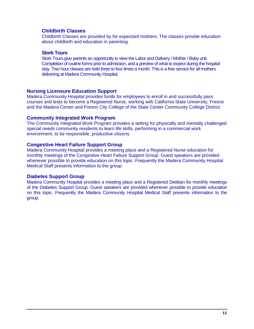#### **Childbirth Classes**

Childbirth Classes are provided by for expectant mothers. The classes provide education about childbirth and education in parenting.

#### **Stork Tours**

Stork Tours give parents an opportunity to view the Labor and Delivery / Mother / Baby unit. Completion of routine forms prior to admission, and a preview of what to expect during the hospital stay. Two hour classes are held three to four times a month. This is a free service for all mothers delivering at Madera Community Hospital.

#### **Nursing Licensure Education Support**

Madera Community Hospital provides funds for employees to enroll in and successfully pass courses and tests to become a Registered Nurse, working with California State University, Fresno and the Madera Center and Fresno City College of the State Center Community College District.

#### **Community Integrated Work Program**

The Community Integrated Work Program provides a setting for physically and mentally challenged special needs community residents to learn life skills, performing in a commercial work environment, to be responsible, productive citizens.

#### **Congestive Heart Failure Support Group**

Madera Community Hospital provides a meeting place and a Registered Nurse education for monthly meetings of the Congestive Heart Failure Support Group. Guest speakers are provided whenever possible to provide education on this topic. Frequently the Madera Community Hospital Medical Staff presents information to the group.

#### **Diabetes Support Group**

Madera Community Hospital provides a meeting place and a Registered Dietitian for monthly meetings of the Diabetes Support Group. Guest speakers are provided whenever possible to provide education on this topic. Frequently the Madera Community Hospital Medical Staff presents information to the group.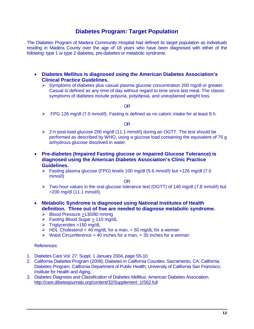## **Diabetes Program: Target Population**

The Diabetes Program of Madera Community Hospital had defined its target population as individuals residing in Madera County over the age of 18 years who have been diagnosed with either of the following: type 1 or type 2 diabetes, pre-diabetes or metabolic syndrome.

- **Diabetes Mellitus is diagnosed using the American Diabetes Association's Clinical Practice Guidelines.**
	- $\triangleright$  Symptoms of diabetes plus casual plasma glucose concentration 200 mg/dl or greater. Casual is defined as any time of day without regard to time since last meal. The classic symptoms of diabetes include polyuria, polydipsia, and unexplained weight loss.

#### OR

 $\triangleright$  FPG 126 mg/dl (7.0 mmol/l). Fasting is defined as no caloric intake for at least 8 h.

#### OR

- $\geq$  2-h post-load glucose 200 mg/dl (11.1 mmol/l) during an OGTT. The test should be performed as described by WHO, using a glucose load containing the equivalent of 75 g anhydrous glucose dissolved in water.
- **Pre-diabetes (Impaired Fasting glucose or Impaired Glucose Tolerance) is diagnosed using the American Diabetes Association's Clinic Practice Guidelines.**
	- Fasting plasma glucose (FPG) levels 100 mg/dl (5.6 mmol/l) but <126 mg/dl (7.0 mmol/l)

OR

- $\triangleright$  Two-hour values in the oral glucose tolerance test (OGTT) of 140 mg/dl (7.8 mmol/l) but <200 mg/dl (11.1 mmol/l).
- **Metabolic Syndrome is diagnosed using National Institutes of Health definition. Three out of five are needed to diagnose metabolic syndrome.**
	- Blood Pressure >130/80 mmHg
	- $\triangleright$  Fasting Blood Sugar > 110 mg/dL
	- $\triangleright$  Triglycerides >150 mg/dL
	- $\triangleright$  HDL Cholesterol < 40 mg/dL for a man, < 50 mg/dL for a woman
	- $\triangleright$  Waist Circumference > 40 inches for a man, > 35 inches for a woman

#### References:

- 1. Diabetes Care Vol. 27: Suppl. 1 January 2004, page S5-10.
- 2. California Diabetes Program (2009); Diabetes in California Counties. Sacramento, CA: California Diabetes Program, California Department of Public Health; University of California San Francisco, Institute for Health and Aging.
- 3. Diabetes Diagnosis and Classification of Diabetes Mellitus; American Diabetes Association. [http://care.dibetesjournals.org/content/32/Supplement\\_1/S62.full](http://care.dibetesjournals.org/content/32/Supplement_1/S62.full)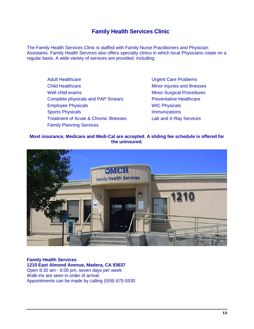## **Family Health Services Clinic**

The Family Health Services Clinic is staffed with Family Nurse Practitioners and Physician Assistants. Family Health Services also offers specialty clinics in which local Physicians rotate on a regular basis. A wide variety of services are provided, including:

Adult Healthcare **National Care Problems** Child Healthcare Minor injuries and illnesses Well child exams Minor Surgical Procedures Complete physicals and PAP Smears Preventative Healthcare Employee Physicals WIC Physicals Sports Physicals **Immunizations** Treatment of Acute & Chronic Illnesses Lab and X-Ray Services Family Planning Services

#### **Most insurance, Medicare and Medi-Cal are accepted. A sliding fee schedule is offered for the uninsured.**



**Family Health Services 1210 East Almond Avenue, Madera, CA 93637**  Open 8:30 am - 6:00 pm, seven days per week Walk-ins are seen in order of arrival. Appointments can be made by calling (559) 675-5530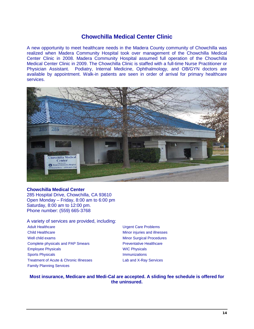### **Chowchilla Medical Center Clinic**

A new opportunity to meet healthcare needs in the Madera County community of Chowchilla was realized when Madera Community Hospital took over management of the Chowchilla Medical Center Clinic in 2008. Madera Community Hospital assumed full operation of the Chowchilla Medical Center Clinic in 2009. The Chowchilla Clinic is staffed with a full-time Nurse Practitioner or Physician Assistant. Podiatry, Internal Medicine, Ophthalmology, and OB/GYN doctors are available by appointment. Walk-in patients are seen in order of arrival for primary healthcare services.



#### **Chowchilla Medical Center**

285 Hospital Drive, Chowchilla, CA 93610 Open Monday – Friday, 8:00 am to 6:00 pm Saturday, 8:00 am to 12:00 pm. Phone number: (559) 665-3768

A variety of services are provided, including: Adult Healthcare **National Care Problems** 

Child Healthcare Minor injuries and illnesses Well child exams Minor Surgical Procedures Complete physicals and PAP Smears **Preventative Healthcare** Employee Physicals **Employee Physicals** WIC Physicals Sports Physicals **Immunizations** Treatment of Acute & Chronic Illnesses Lab and X-Ray Services Family Planning Services

#### **Most insurance, Medicare and Medi-Cal are accepted. A sliding fee schedule is offered for the uninsured.**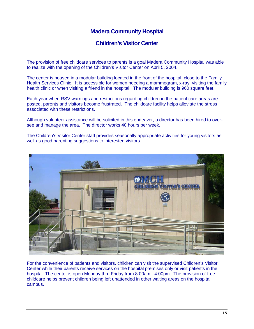## **Madera Community Hospital**

### **Children's Visitor Center**

The provision of free childcare services to parents is a goal Madera Community Hospital was able to realize with the opening of the Children's Visitor Center on April 5, 2004.

The center is housed in a modular building located in the front of the hospital, close to the Family Health Services Clinic. It is accessible for women needing a mammogram, x-ray, visiting the family health clinic or when visiting a friend in the hospital. The modular building is 960 square feet.

Each year when RSV warnings and restrictions regarding children in the patient care areas are posted, parents and visitors become frustrated. The childcare facility helps alleviate the stress associated with these restrictions.

Although volunteer assistance will be solicited in this endeavor, a director has been hired to oversee and manage the area. The director works 40 hours per week.

The Children's Visitor Center staff provides seasonally appropriate activities for young visitors as well as good parenting suggestions to interested visitors.



For the convenience of patients and visitors, children can visit the supervised Children's Visitor Center while their parents receive services on the hospital premises only or visit patients in the hospital. The center is open Monday thru Friday from 8:00am - 4:00pm. The provision of free childcare helps prevent children being left unattended in other waiting areas on the hospital campus.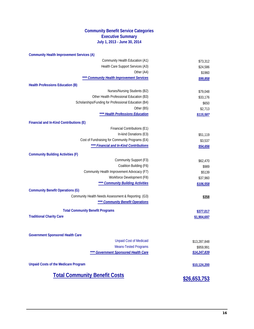### **Community Benefit Service Categories Executive Summary July 1, 2013 - June 30, 2014**

| <b>Total Community Benefit Costs</b>                                       | \$26,653,753             |
|----------------------------------------------------------------------------|--------------------------|
|                                                                            |                          |
| <b>Unpaid Costs of the Medicare Program</b>                                | \$10,124,200             |
| ** Government Sponsored Health Care                                        | \$14,247,839             |
| <b>Means-Tested Programs</b>                                               | \$959,991                |
| <b>Unpaid Cost of Medicaid</b>                                             | \$13,287,848             |
| <b>Government Sponsored Health Care</b>                                    |                          |
|                                                                            |                          |
| <b>Total Community Benefit Programs</b><br><b>Traditional Charity Care</b> | \$377,017<br>\$1,904,697 |
|                                                                            |                          |
| **** Community Benefit Operations                                          | \$358                    |
| Community Health Needs Assessment & Reporting (G3)                         |                          |
| <b>Community Benefit Operations (G)</b>                                    |                          |
| <b>Community Building Activities</b>                                       | \$106,558                |
| Workforce Development (F8)                                                 | \$37,960                 |
| Community Health Improvement Advocacy (F7)                                 | \$5139                   |
| Coalition Building (F6)                                                    | \$62,470<br>\$989        |
| <b>Community Building Activities (F)</b><br>Community Support (F3)         |                          |
|                                                                            |                          |
| **** Financial and In-Kind Contributions                                   | \$54,656                 |
| Cost of Fundraising for Community Programs (E4)                            | \$3,537                  |
| In-kind Donations (E3)                                                     | \$51,119                 |
| Financial and In-Kind Contributions (E)<br>Financial Contributions (E1)    |                          |
|                                                                            |                          |
| ** Health Professions Education                                            | \$115,587                |
| Other (B5)                                                                 | \$650<br>\$2,713         |
| Scholarships/Funding for Professional Education (B4)                       | \$33,176                 |
| Nurses/Nursing Students (B2)<br>Other Health Professional Education (B3)   | \$79,048                 |
| <b>Health Professions Education (B)</b>                                    |                          |
|                                                                            | \$99,858                 |
| <b>Community Health Improvement Services</b>                               | \$1960                   |
| Health Care Support Services (A3)<br>Other (A4)                            | \$24,586                 |
| Community Health Education (A1)                                            | \$73,312                 |
| <b>Community Health Improvement Services (A)</b>                           |                          |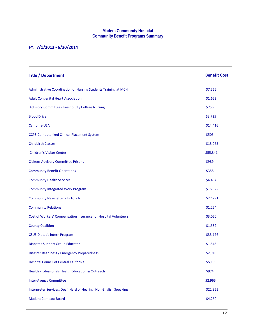#### **Madera Community Hospital Community Benefit Programs Summary**

### **FY: 7/1/2013 - 6/30/2014**

| <b>Title / Department</b>                                         | <b>Benefit Cost</b> |
|-------------------------------------------------------------------|---------------------|
| Administrative Coordination of Nursing Students Training at MCH   | \$7,566             |
| <b>Adult Congenital Heart Association</b>                         | \$1,652             |
| Advisory Committee - Fresno City College Nursing                  | \$756               |
| <b>Blood Drive</b>                                                | \$3,725             |
| <b>Campfire USA</b>                                               | \$14,416            |
| <b>CCPS-Computerized Clinical Placement System</b>                | \$505               |
| <b>Childbirth Classes</b>                                         | \$13,065            |
| <b>Children's Visitor Center</b>                                  | \$55,341            |
| <b>Citizens Advisory Committee Prisons</b>                        | \$989               |
| <b>Community Benefit Operations</b>                               | \$358               |
| <b>Community Health Services</b>                                  | \$4,404             |
| <b>Community Integrated Work Program</b>                          | \$15,022            |
| <b>Community Newsletter - In Touch</b>                            | \$27,291            |
| <b>Community Relations</b>                                        | \$1,254             |
| Cost of Workers' Compensation Insurance for Hospital Volunteers   | \$3,050             |
| <b>County Coalition</b>                                           | \$1,582             |
| <b>CSUF Dietetic Intern Program</b>                               | \$33,176            |
| <b>Diabetes Support Group Educator</b>                            | \$1,546             |
| Disaster Readiness / Emergency Preparedness                       | \$2,910             |
| <b>Hospital Council of Central California</b>                     | \$5,139             |
| <b>Health Professionals Health Education &amp; Outreach</b>       | \$974               |
| <b>Inter-Agency Committee</b>                                     | \$2,965             |
| Interpreter Services: Deaf, Hard of Hearing, Non-English Speaking | \$22,925            |
| <b>Madera Compact Board</b>                                       | \$4,250             |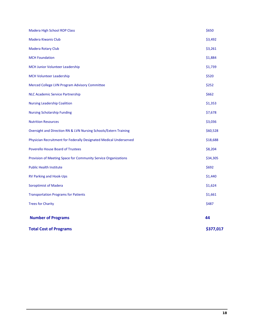| <b>Total Cost of Programs</b>                                      | \$377,017 |
|--------------------------------------------------------------------|-----------|
| <b>Number of Programs</b>                                          | 44        |
| <b>Trees for Charity</b>                                           | \$487     |
| <b>Transportation Programs for Patients</b>                        | \$1,661   |
| <b>Soroptimist of Madera</b>                                       | \$1,624   |
| <b>RV Parking and Hook-Ups</b>                                     | \$1,440   |
| <b>Public Health Institute</b>                                     | \$692     |
| Provision of Meeting Space for Community Service Organizations     | \$34,305  |
| <b>Poverello House Board of Trustees</b>                           | \$8,204   |
| Physician Recruitment for Federally Designated Medical Underserved | \$18,688  |
| Oversight and Direction RN & LVN Nursing Schools/Extern Training   | \$60,528  |
| <b>Nutrition Resources</b>                                         | \$3,036   |
| <b>Nursing Scholarship Funding</b>                                 | \$7,678   |
| <b>Nursing Leadership Coalition</b>                                | \$1,353   |
| <b>NLC Academic Service Partnership</b>                            | \$662     |
| Merced College LVN Program Advisory Committee                      | \$252     |
| <b>MCH Volunteer Leadership</b>                                    | \$520     |
| MCH Junior Volunteer Leadership                                    | \$1,739   |
| <b>MCH Foundation</b>                                              | \$1,884   |
| <b>Madera Rotary Club</b>                                          | \$3,261   |
| <b>Madera Kiwanis Club</b>                                         | \$3,492   |
| Madera High School ROP Class                                       | \$650     |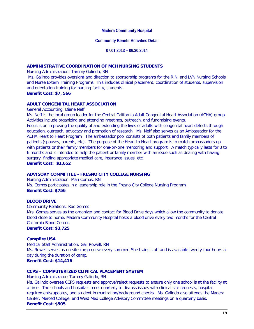#### **Madera Community Hospital**

#### **Community Benefit Activities Detail**

**07.01.2013 – 06.30.2014**

#### **ADMINISTRATIVE COORDINATION OF MCH NURSING STUDENTS**

Nursing Administration: Tammy Galindo, RN

Ms. Galindo provides oversight and direction to sponsorship programs for the R.N. and LVN Nursing Schools and Nurse Extern Training Programs. This includes clinical placement, coordination of students, supervision and orientation training for nursing facility, students.

**Benefit Cost: \$7, 566**

#### **ADULT CONGENITAL HEART ASSOCIATION**

General Accounting: Diane Neff

Ms. Neff is the local group leader for the Central California Adult Congenital Heart Association (ACHA) group. Activities include organizing and attending meetings, outreach, and fundraising events.

Focus is on improving the quality of and extending the lives of adults with congenital heart defects through education, outreach, advocacy and promotion of research. Ms. Neff also serves as an Ambassador for the ACHA Heart to Heart Program. The ambassador pool consists of both patients and family members of patients (spouses, parents, etc). The purpose of the Heart to Heart program is to match ambassadors up with patients or their family members for one-on-one mentoring and support. A match typically lasts for 3 to 6 months and is intended to help the patient or family member with an issue such as dealing with having surgery, finding appropriate medical care, insurance issues, etc.

**Benefit Cost: \$1,652**

#### **ADVISORY COMMITTEE - FRESNO CITY COLLEGE NURSING**

Nursing Administration: Mari Combs, RN Ms. Combs participates in a leadership role in the Fresno City College Nursing Program. **Benefit Cost: \$756**

#### **BLOOD DRIVE**

Community Relations: Rae Gomes

Mrs. Gomes serves as the organizer and contact for Blood Drive days which allow the community to donate blood close to home. Madera Community Hospital hosts a blood drive every two months for the Central California Blood Center.

**Benefit Cost: \$3,725**

#### **Campfire USA**

Medical Staff Administration: Gail Rowell, RN Ms. Rowell serves as on-site camp nurse every summer. She trains staff and is available twenty-four hours a day during the duration of camp.

**Benefit Cost: \$14,416**

#### **CCPS – COMPUTERIZED CLINICAL PLACEMENT SYSTEM**

Nursing Administrator: Tammy Galindo, RN

Ms. Galindo oversee CCPS requests and approve/reject requests to ensure only one school is at the facility at a time. The schools and hospitals meet quarterly to discuss issues with clinical site requests, hospital requirements/updates, and student immunization/background checks. Ms. Galindo also attends the Madera Center, Merced College, and West Med College Advisory Committee meetings on a quarterly basis. **Benefit Cost: \$505**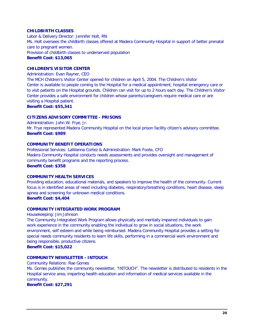#### **CHILDBIRTH CLASSES**

Labor & Delivery Director: Jennifer Holt, RN Ms. Holt oversees the childbirth classes offered at Madera Community Hospital in support of better prenatal care to pregnant women. Provision of childbirth classes to underserved population **Benefit Cost: \$13,065**

#### **CHILDREN'S VISITOR CENTER**

Administration: Evan Rayner, CEO

The MCH Children's Visitor Center opened for children on April 5, 2004. The Children's Visitor Center is available to people coming to the Hospital for a medical appointment, hospital emergency care or to visit patients on the Hospital grounds. Children can visit for up to 2 hours each day. The Children's Visitor Center provides a safe environment for children whose parents/caregivers require medical care or are visiting a Hospital patient.

**Benefit Cost: \$55,341**

#### **CITIZENS ADVISORY COMMITTEE - PRISONS**

Administration: John W. Frye, Jr. Mr. Frye represented Madera Community Hospital on the local prison facility citizen's advisory committee. **Benefit Cost: \$989**

#### **COMMUNITY BENEFIT OPERATIONS**

Professional Services: LaWanna Cortez & Administration: Mark Foote, CFO Madera Community Hospital conducts needs assessments and provides oversight and management of community benefit programs and the reporting process. **Benefit Cost: \$358**

#### **COMMUNITY HEALTH SERVICES**

Providing education, educational materials, and speakers to improve the health of the community. Current focus is in identified areas of need including diabetes, respiratory/breathing conditions, heart disease, sleep apnea and screening for unknown medical conditions.

#### **Benefit Cost: \$4,404**

#### **COMMUNITY INTEGRATED WORK PROGRAM**

Housekeeping: Jim Johnson

The Community Integrated Work Program allows physically and mentally impaired individuals to gain work experience in the community enabling the individual to grow in social situations, the work environment, self esteem and while being reimbursed. Madera Community Hospital provides a setting for special needs community residents to learn life skills, performing in a commercial work environment and being responsible, productive citizens.

**Benefit Cost: \$15,022**

#### **COMMUNITY NEWSLETTER - INTOUCH**

Community Relations: Rae Gomes

Ms. Gomes publishes the community newsletter, "INTOUCH". The newsletter is distributed to residents in the Hospital service area, imparting health education and information of medical services available in the community.

**Benefit Cost: \$27,291**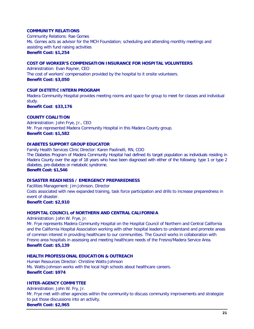#### **COMMUNITY RELATIONS**

Community Relations: Rae Gomes Ms. Gomes acts as advisor for the MCH Foundation; scheduling and attending monthly meetings and assisting with fund raising activities **Benefit Cost: \$1,254**

#### **COST OF WORKER'S COMPENSATION INSURANCE FOR HOSPITAL VOLUNTEERS**

Administration: Evan Rayner, CEO The cost of workers' compensation provided by the hospital to it onsite volunteers. **Benefit Cost: \$3,050**

#### **CSUF DIETETIC INTERN PROGRAM**

Madera Community Hospital provides meeting rooms and space for group to meet for classes and individual study.

**Benefit Cost**: **\$33,176**

#### **COUNTY COALITION**

Administration: John Frye, Jr., CEO Mr. Frye represented Madera Community Hospital in this Madera County group. **Benefit Cost: \$1,582**

#### **DIABETES SUPPORT GROUP EDUCATOR**

Family Health Services Clinic Director: Karen Paolinelli, RN, COO The Diabetes Program of Madera Community Hospital had defined its target population as individuals residing in Madera County over the age of 18 years who have been diagnosed with either of the following: type 1 or type 2 diabetes, pre-diabetes or metabolic syndrome. **Benefit Cost: \$1,546**

#### **DISASTER READINESS / EMERGENCY PREPAREDNESS**

Facilities Management: Jim Johnson, Director Costs associated with new expanded training, task force participation and drills to increase preparedness in event of disaster.

**Benefit Cost: \$2,910**

#### **HOSPITAL COUNCIL of NORTHERN AND CENTRAL CALIFORNIA**

Administration: John W. Frye, Jr.

Mr. Frye represents Madera Community Hospital on the Hospital Council of Northern and Central California and the California Hospital Association working with other hospital leaders to understand and promote areas of common interest in providing healthcare to our communities. The Council works in collaboration with Fresno area hospitals in assessing and meeting healthcare needs of the Fresno/Madera Service Area. **Benefit Cost: \$5,139**

#### **HEALTH PROFESSIONAL EDUCATION & OUTREACH**

Human Resources Director: Christine Watts-Johnson Ms. Watts-Johnson works with the local high schools about healthcare careers. **Benefit Cost: \$974**

#### **INTER-AGENCY COMMITTEE**

Administration: John W. Fry, Jr. Mr. Frye met with other agencies within the community to discuss community improvements and strategize to put those discussions into an activity.

**Benefit Cost: \$2,965**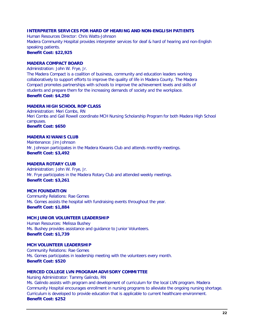#### **INTERPRETER SERVICES FOR HARD OF HEARING AND NON-ENGLISH PATIENTS**

Human Resources Director: Chris Watts-Johnson Madera Community Hospital provides interpreter services for deaf & hard of hearing and non-English speaking patients. **Benefit Cost: \$22,925**

#### **MADERA COMPACT BOARD**

Administration: John W. Frye, Jr.

The Madera Compact is a coalition of business, community and education leaders working collaboratively to support efforts to improve the quality of life in Madera County. The Madera Compact promotes partnerships with schools to improve the achievement levels and skills of students and prepare them for the increasing demands of society and the workplace. **Benefit Cost: \$4,250**

#### **MADERA HIGH SCHOOL ROP CLASS**

Administration: Meri Combs, RN Meri Combs and Gail Rowell coordinate MCH Nursing Scholarship Program for both Madera High School campuses. **Benefit Cost: \$650**

#### **MADERA KIWANIS CLUB**

Maintenance: Jim Johnson Mr. Johnson participates in the Madera Kiwanis Club and attends monthly meetings. **Benefit Cost: \$3,492**

#### **MADERA ROTARY CLUB**

Administration: John W. Frye, Jr. Mr. Frye participates in the Madera Rotary Club and attended weekly meetings. **Benefit Cost: \$3,261**

#### **MCH FOUNDATION**

Community Relations: Rae Gomes Ms. Gomes assists the hospital with fundraising events throughout the year. **Benefit Cost: \$1,884**

#### **MCH JUNIOR VOLUNTEER LEADERSHIP**

Human Resources: Melissa Bushey Ms. Bushey provides assistance and guidance to Junior Volunteers. **Benefit Cost: \$1,739**

#### **MCH VOLUNTEER LEADERSHIP**

Community Relations: Rae Gomes Ms. Gomes participates in leadership meeting with the volunteers every month. **Benefit Cost: \$520**

#### **MERCED COLLEGE LVN PROGRAM ADVISORY COMMITTEE**

Nursing Administrator: Tammy Galindo, RN Ms. Galindo assists with program and development of curriculum for the local LVN program. Madera Community Hospital encourages enrollment in nursing programs to alleviate the ongoing nursing shortage. Curriculum is developed to provide education that is applicable to current healthcare environment. **Benefit Cost: \$252**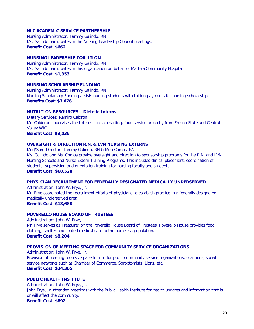#### **NLC ACADEMIC SERVICE PARTNERSHIP**

Nursing Administrator: Tammy Galindo, RN Ms. Galindo participates in the Nursing Leadership Council meetings. **Benefit Cost: \$662**

#### **NURSING LEADERSHIP COALITION**

Nursing Administrator: Tammy Galindo, RN Ms. Galindo participates in this organization on behalf of Madera Community Hospital. **Benefit Cost: \$1,353**

#### **NURSING SCHOLARSHIP FUNDING**

Nursing Administrator: Tammy Galindo, RN Nursing Scholarship Funding assists nursing students with tuition payments for nursing scholarships. **Benefits Cost: \$7,678**

#### **NUTRITION RESOURCES – Dietetic Interns**

Dietary Services: Ramiro Caldron Mr. Calderon supervises the Interns clinical charting, food service projects, from Fresno State and Central Valley WIC.

**Benefit Cost: \$3,036**

#### **OVERSIGHT & DIRECTION R.N. & LVN NURSING EXTERNS**

Med/Surg Director: Tammy Galindo, RN & Meri Combs, RN Ms. Galindo and Ms. Combs provide oversight and direction to sponsorship programs for the R.N. and LVN Nursing Schools and Nurse Extern Training Programs. This includes clinical placement, coordination of students, supervision and orientation training for nursing faculty and students **Benefit Cost: \$60,528**

#### **PHYSICIAN RECRUITMENT FOR FEDERALLY DESIGNATED MEDICALLY UNDERSERVED**

Administration: John W. Frye, Jr. Mr. Frye coordinated the recruitment efforts of physicians to establish practice in a federally designated medically underserved area. **Benefit Cost: \$18,688**

#### **POVERELLO HOUSE BOARD OF TRUSTEES**

Administration: John W. Frye, Jr. Mr. Frye serves as Treasurer on the Poverello House Board of Trustees. Poverello House provides food, clothing, shelter and limited medical care to the homeless population. **Benefit Cost: \$8,204**

#### **PROVISION OF MEETING SPACE FOR COMMUNITY SERVICE ORGANIZATIONS**

Administration: John W. Frye, Jr. Provision of meeting rooms / space for not-for-profit community service organizations, coalitions, social service networks such as Chamber of Commerce, Soroptomists, Lions, etc. **Benefit Cost**: **\$34,305**

#### **PUBLIC HEALTH INSTITUTE**

Administration: John W. Frye, Jr. John Frye, Jr. attended meetings with the Public Health Institute for health updates and information that is or will affect the community. **Benefit Cost: \$692**